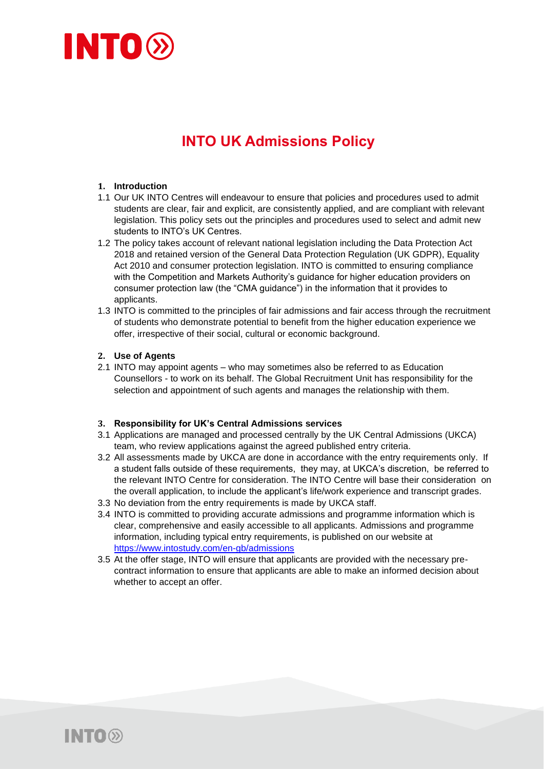

# **INTO UK Admissions Policy**

#### **1. Introduction**

- 1.1 Our UK INTO Centres will endeavour to ensure that policies and procedures used to admit students are clear, fair and explicit, are consistently applied, and are compliant with relevant legislation. This policy sets out the principles and procedures used to select and admit new students to INTO's UK Centres.
- 1.2 The policy takes account of relevant national legislation including the Data Protection Act 2018 and retained version of the General Data Protection Regulation (UK GDPR), Equality Act 2010 and consumer protection legislation. INTO is committed to ensuring compliance with the Competition and Markets Authority's guidance for higher education providers on consumer protection law (the "CMA guidance") in the information that it provides to applicants.
- 1.3 INTO is committed to the principles of fair admissions and fair access through the recruitment of students who demonstrate potential to benefit from the higher education experience we offer, irrespective of their social, cultural or economic background.

#### **2. Use of Agents**

2.1 INTO may appoint agents – who may sometimes also be referred to as Education Counsellors - to work on its behalf. The Global Recruitment Unit has responsibility for the selection and appointment of such agents and manages the relationship with them.

#### **3. Responsibility for UK's Central Admissions services**

- 3.1 Applications are managed and processed centrally by the UK Central Admissions (UKCA) team, who review applications against the agreed published entry criteria.
- 3.2 All assessments made by UKCA are done in accordance with the entry requirements only. If a student falls outside of these requirements, they may, at UKCA's discretion, be referred to the relevant INTO Centre for consideration. The INTO Centre will base their consideration on the overall application, to include the applicant's life/work experience and transcript grades.
- 3.3 No deviation from the entry requirements is made by UKCA staff.
- 3.4 INTO is committed to providing accurate admissions and programme information which is clear, comprehensive and easily accessible to all applicants. Admissions and programme information, including typical entry requirements, is published on our website at <https://www.intostudy.com/en-gb/admissions>
- 3.5 At the offer stage, INTO will ensure that applicants are provided with the necessary precontract information to ensure that applicants are able to make an informed decision about whether to accept an offer.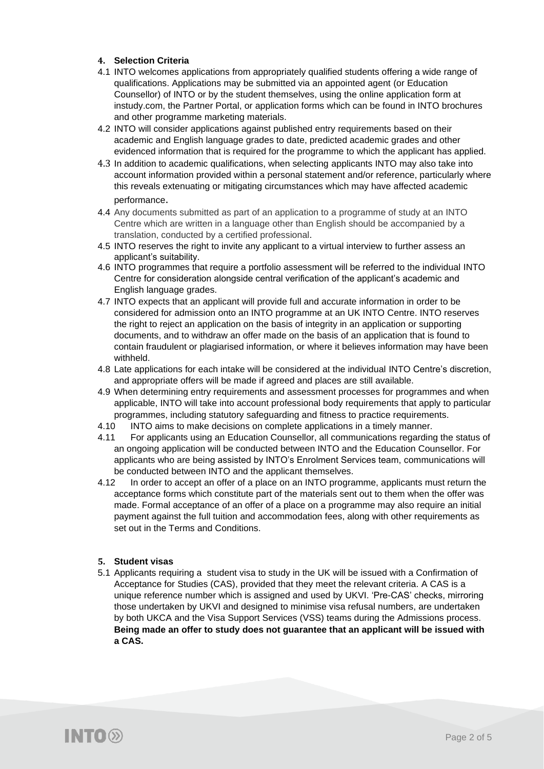# **4. Selection Criteria**

- 4.1 INTO welcomes applications from appropriately qualified students offering a wide range of qualifications. Applications may be submitted via an appointed agent (or Education Counsellor) of INTO or by the student themselves, using the online application form at instudy.com, the Partner Portal, or application forms which can be found in INTO brochures and other programme marketing materials.
- 4.2 INTO will consider applications against published entry requirements based on their academic and English language grades to date, predicted academic grades and other evidenced information that is required for the programme to which the applicant has applied.
- 4.3 In addition to academic qualifications, when selecting applicants INTO may also take into account information provided within a personal statement and/or reference, particularly where this reveals extenuating or mitigating circumstances which may have affected academic performance.
- 4.4 Any documents submitted as part of an application to a programme of study at an INTO Centre which are written in a language other than English should be accompanied by a translation, conducted by a certified professional.
- 4.5 INTO reserves the right to invite any applicant to a virtual interview to further assess an applicant's suitability.
- 4.6 INTO programmes that require a portfolio assessment will be referred to the individual INTO Centre for consideration alongside central verification of the applicant's academic and English language grades.
- 4.7 INTO expects that an applicant will provide full and accurate information in order to be considered for admission onto an INTO programme at an UK INTO Centre. INTO reserves the right to reject an application on the basis of integrity in an application or supporting documents, and to withdraw an offer made on the basis of an application that is found to contain fraudulent or plagiarised information, or where it believes information may have been withheld.
- 4.8 Late applications for each intake will be considered at the individual INTO Centre's discretion, and appropriate offers will be made if agreed and places are still available.
- 4.9 When determining entry requirements and assessment processes for programmes and when applicable, INTO will take into account professional body requirements that apply to particular programmes, including statutory safeguarding and fitness to practice requirements.
- 4.10 INTO aims to make decisions on complete applications in a timely manner.
- 4.11 For applicants using an Education Counsellor, all communications regarding the status of an ongoing application will be conducted between INTO and the Education Counsellor. For applicants who are being assisted by INTO's Enrolment Services team, communications will be conducted between INTO and the applicant themselves.
- 4.12 In order to accept an offer of a place on an INTO programme, applicants must return the acceptance forms which constitute part of the materials sent out to them when the offer was made. Formal acceptance of an offer of a place on a programme may also require an initial payment against the full tuition and accommodation fees, along with other requirements as set out in the Terms and Conditions.

# **5. Student visas**

5.1 Applicants requiring a student visa to study in the UK will be issued with a Confirmation of Acceptance for Studies (CAS), provided that they meet the relevant criteria. A CAS is a unique reference number which is assigned and used by UKVI. 'Pre-CAS' checks, mirroring those undertaken by UKVI and designed to minimise visa refusal numbers, are undertaken by both UKCA and the Visa Support Services (VSS) teams during the Admissions process. **Being made an offer to study does not guarantee that an applicant will be issued with a CAS.**

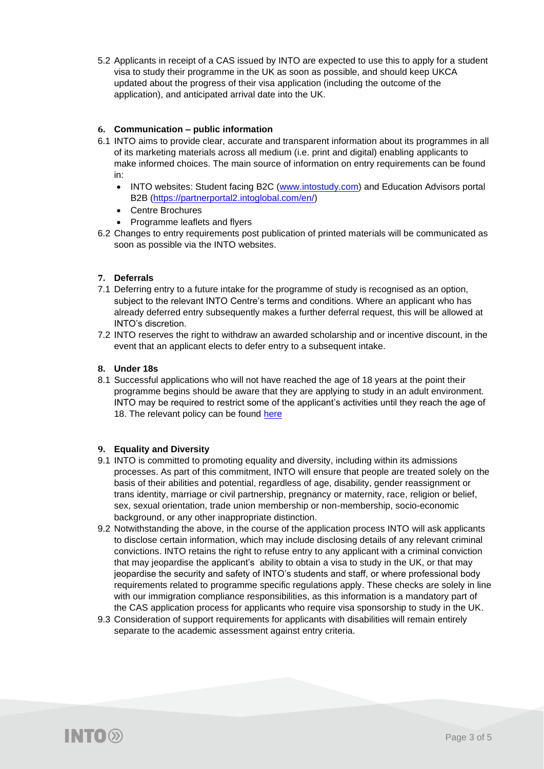5.2 Applicants in receipt of a CAS issued by INTO are expected to use this to apply for a student visa to study their programme in the UK as soon as possible, and should keep UKCA updated about the progress of their visa application (including the outcome of the application), and anticipated arrival date into the UK.

# **6. Communication – public information**

- 6.1 INTO aims to provide clear, accurate and transparent information about its programmes in all of its marketing materials across all medium (i.e. print and digital) enabling applicants to make informed choices. The main source of information on entry requirements can be found in:
	- INTO websites: Student facing B2C [\(www.intostudy.com\)](http://www.intostudy.com/) and Education Advisors portal B2B [\(https://partnerportal2.intoglobal.com/en/\)](https://partnerportal2.intoglobal.com/en/)
	- Centre Brochures
	- Programme leaflets and flyers
- 6.2 Changes to entry requirements post publication of printed materials will be communicated as soon as possible via the INTO websites.

# **7. Deferrals**

- 7.1 Deferring entry to a future intake for the programme of study is recognised as an option, subject to the relevant INTO Centre's terms and conditions. Where an applicant who has already deferred entry subsequently makes a further deferral request, this will be allowed at INTO's discretion.
- 7.2 INTO reserves the right to withdraw an awarded scholarship and or incentive discount, in the event that an applicant elects to defer entry to a subsequent intake.

# **8. Under 18s**

8.1 Successful applications who will not have reached the age of 18 years at the point their programme begins should be aware that they are applying to study in an adult environment. INTO may be required to restrict some of the applicant's activities until they reach the age of 18. The relevant policy can be found [here](https://media.intostudy.com/image/upload/v1612522089/Marketing_Team/LON/PDFs/Under_18_Policies/INTO_LON_Safeguarding___Child_Protection_Policy.pdf)

# **9. Equality and Diversity**

- 9.1 INTO is committed to promoting equality and diversity, including within its admissions processes. As part of this commitment, INTO will ensure that people are treated solely on the basis of their abilities and potential, regardless of age, disability, gender reassignment or trans identity, marriage or civil partnership, pregnancy or maternity, race, religion or belief, sex, sexual orientation, trade union membership or non-membership, socio-economic background, or any other inappropriate distinction.
- 9.2 Notwithstanding the above, in the course of the application process INTO will ask applicants to disclose certain information, which may include disclosing details of any relevant criminal convictions. INTO retains the right to refuse entry to any applicant with a criminal conviction that may jeopardise the applicant's ability to obtain a visa to study in the UK, or that may jeopardise the security and safety of INTO's students and staff, or where professional body requirements related to programme specific regulations apply. These checks are solely in line with our immigration compliance responsibilities, as this information is a mandatory part of the CAS application process for applicants who require visa sponsorship to study in the UK.
- 9.3 Consideration of support requirements for applicants with disabilities will remain entirely separate to the academic assessment against entry criteria.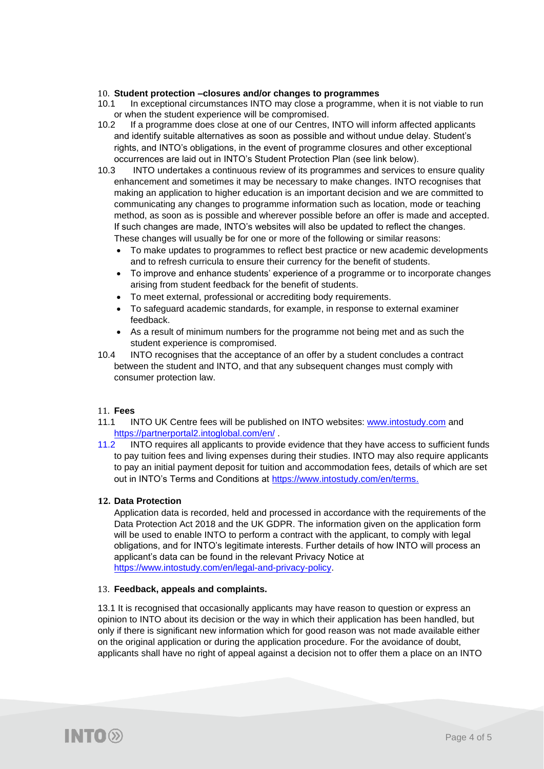#### 10. **Student protection –closures and/or changes to programmes**

- 10.1 In exceptional circumstances INTO may close a programme, when it is not viable to run or when the student experience will be compromised.<br>10.2 If a programme does close at one of our Centres.
- If a programme does close at one of our Centres, INTO will inform affected applicants and identify suitable alternatives as soon as possible and without undue delay. Student's rights, and INTO's obligations, in the event of programme closures and other exceptional occurrences are laid out in INTO's Student Protection Plan (see link below).
- 10.3 INTO undertakes a continuous review of its programmes and services to ensure quality enhancement and sometimes it may be necessary to make changes. INTO recognises that making an application to higher education is an important decision and we are committed to communicating any changes to programme information such as location, mode or teaching method, as soon as is possible and wherever possible before an offer is made and accepted. If such changes are made, INTO's websites will also be updated to reflect the changes. These changes will usually be for one or more of the following or similar reasons:
	- To make updates to programmes to reflect best practice or new academic developments and to refresh curricula to ensure their currency for the benefit of students.
	- To improve and enhance students' experience of a programme or to incorporate changes arising from student feedback for the benefit of students.
	- To meet external, professional or accrediting body requirements.
	- To safeguard academic standards, for example, in response to external examiner feedback.
	- As a result of minimum numbers for the programme not being met and as such the student experience is compromised.
- 10.4 INTO recognises that the acceptance of an offer by a student concludes a contract between the student and INTO, and that any subsequent changes must comply with consumer protection law.

# 11. **Fees**

- 11.1 INTO UK Centre fees will be published on INTO websites: [www.intostudy.com](http://www.intostudy.com/) and <https://partnerportal2.intoglobal.com/en/>
- 11.2 INTO requires all applicants to provide evidence that they have access to sufficient funds to pay tuition fees and living expenses during their studies. INTO may also require applicants to pay an initial payment deposit for tuition and accommodation fees, details of which are set out in INTO's Terms and Conditions at [https://www.intostudy.com/en/terms.](https://www.intostudy.com/en/terms)

#### **12. Data Protection**

Application data is recorded, held and processed in accordance with the requirements of the Data Protection Act 2018 and the UK GDPR. The information given on the application form will be used to enable INTO to perform a contract with the applicant, to comply with legal obligations, and for INTO's legitimate interests. Further details of how INTO will process an applicant's data can be found in the relevant Privacy Notice at [https://www.intostudy.com/en/legal-and-privacy-policy.](https://www.intostudy.com/en/legal-and-privacy-policy)

#### 13. **Feedback, appeals and complaints.**

13.1 It is recognised that occasionally applicants may have reason to question or express an opinion to INTO about its decision or the way in which their application has been handled, but only if there is significant new information which for good reason was not made available either on the original application or during the application procedure. For the avoidance of doubt, applicants shall have no right of appeal against a decision not to offer them a place on an INTO